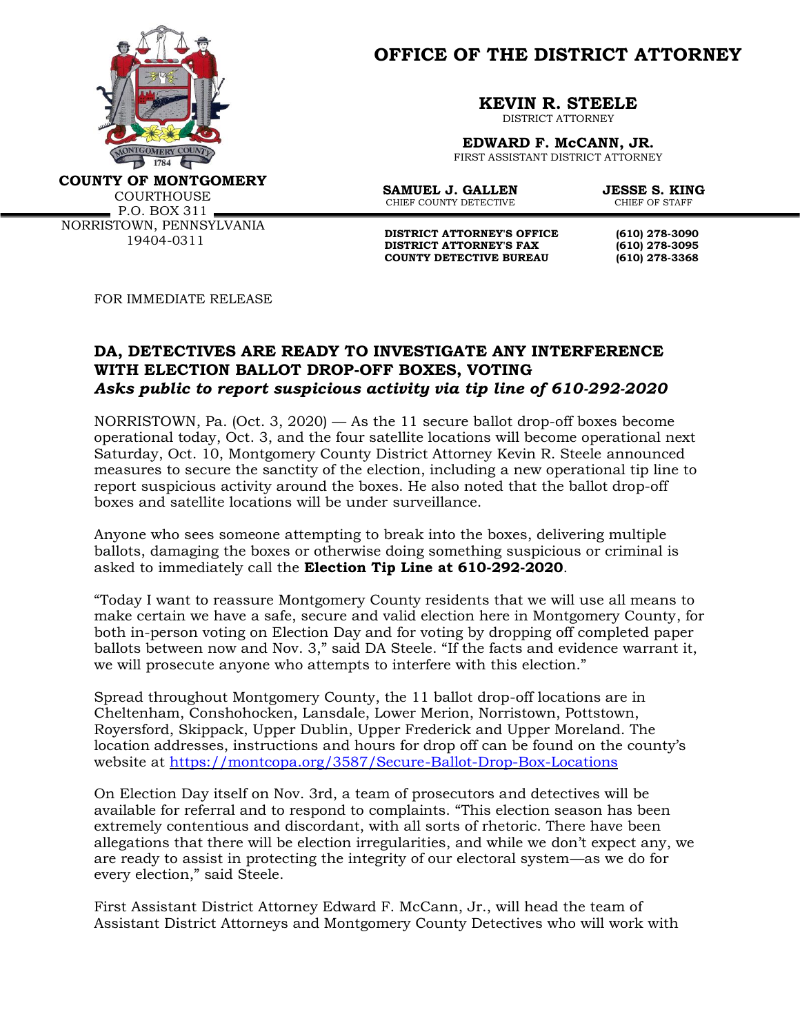

**OFFICE OF THE DISTRICT ATTORNEY**

**KEVIN R. STEELE**

DISTRICT ATTORNEY

**EDWARD F. McCANN, JR.** FIRST ASSISTANT DISTRICT ATTORNEY

**COUNTY OF MONTGOMERY**

**COURTHOUSE**  $P.0. BOX 311$   $-$ 

NORRISTOWN, PENNSYLVANIA 19404-0311

**SAMUEL J. GALLEN JESSE S. KING**<br>CHIEF COUNTY DETECTIVE CHIEF OF STAFF CHIEF COUNTY DETECTIVE

**DISTRICT ATTORNEY'S OFFICE** (610) 278-3090<br>DISTRICT ATTORNEY'S FAX (610) 278-3095 **DISTRICT ATTORNEY'S FAX (610) 278-3095 COUNTY DETECTIVE BUREAU (610) 278-3368**

FOR IMMEDIATE RELEASE

## **DA, DETECTIVES ARE READY TO INVESTIGATE ANY INTERFERENCE WITH ELECTION BALLOT DROP-OFF BOXES, VOTING** *Asks public to report suspicious activity via tip line of 610-292-2020*

NORRISTOWN, Pa. (Oct. 3, 2020) — As the 11 secure ballot drop-off boxes become operational today, Oct. 3, and the four satellite locations will become operational next Saturday, Oct. 10, Montgomery County District Attorney Kevin R. Steele announced measures to secure the sanctity of the election, including a new operational tip line to report suspicious activity around the boxes. He also noted that the ballot drop-off boxes and satellite locations will be under surveillance.

Anyone who sees someone attempting to break into the boxes, delivering multiple ballots, damaging the boxes or otherwise doing something suspicious or criminal is asked to immediately call the **Election Tip Line at 610-292-2020**.

"Today I want to reassure Montgomery County residents that we will use all means to make certain we have a safe, secure and valid election here in Montgomery County, for both in-person voting on Election Day and for voting by dropping off completed paper ballots between now and Nov. 3," said DA Steele. "If the facts and evidence warrant it, we will prosecute anyone who attempts to interfere with this election."

Spread throughout Montgomery County, the 11 ballot drop-off locations are in Cheltenham, Conshohocken, Lansdale, Lower Merion, Norristown, Pottstown, Royersford, Skippack, Upper Dublin, Upper Frederick and Upper Moreland. The location addresses, instructions and hours for drop off can be found on the county's website at<https://montcopa.org/3587/Secure-Ballot-Drop-Box-Locations>

On Election Day itself on Nov. 3rd, a team of prosecutors and detectives will be available for referral and to respond to complaints. "This election season has been extremely contentious and discordant, with all sorts of rhetoric. There have been allegations that there will be election irregularities, and while we don't expect any, we are ready to assist in protecting the integrity of our electoral system—as we do for every election," said Steele.

First Assistant District Attorney Edward F. McCann, Jr., will head the team of Assistant District Attorneys and Montgomery County Detectives who will work with